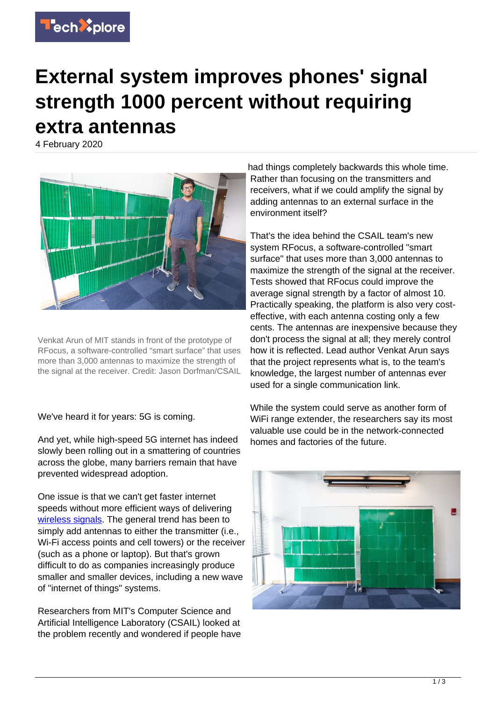

## **External system improves phones' signal strength 1000 percent without requiring extra antennas**

4 February 2020



Venkat Arun of MIT stands in front of the prototype of RFocus, a software-controlled "smart surface" that uses more than 3,000 antennas to maximize the strength of the signal at the receiver. Credit: Jason Dorfman/CSAIL

We've heard it for years: 5G is coming.

And yet, while high-speed 5G internet has indeed slowly been rolling out in a smattering of countries across the globe, many barriers remain that have prevented widespread adoption.

One issue is that we can't get faster internet speeds without more efficient ways of delivering [wireless signals](https://techxplore.com/tags/wireless+signals/). The general trend has been to simply add antennas to either the transmitter (i.e., Wi-Fi access points and cell towers) or the receiver (such as a phone or laptop). But that's grown difficult to do as companies increasingly produce smaller and smaller devices, including a new wave of "internet of things" systems.

Researchers from MIT's Computer Science and Artificial Intelligence Laboratory (CSAIL) looked at the problem recently and wondered if people have

had things completely backwards this whole time. Rather than focusing on the transmitters and receivers, what if we could amplify the signal by adding antennas to an external surface in the environment itself?

That's the idea behind the CSAIL team's new system RFocus, a software-controlled "smart surface" that uses more than 3,000 antennas to maximize the strength of the signal at the receiver. Tests showed that RFocus could improve the average signal strength by a factor of almost 10. Practically speaking, the platform is also very costeffective, with each antenna costing only a few cents. The antennas are inexpensive because they don't process the signal at all; they merely control how it is reflected. Lead author Venkat Arun says that the project represents what is, to the team's knowledge, the largest number of antennas ever used for a single communication link.

While the system could serve as another form of WiFi range extender, the researchers say its most valuable use could be in the network-connected homes and factories of the future.

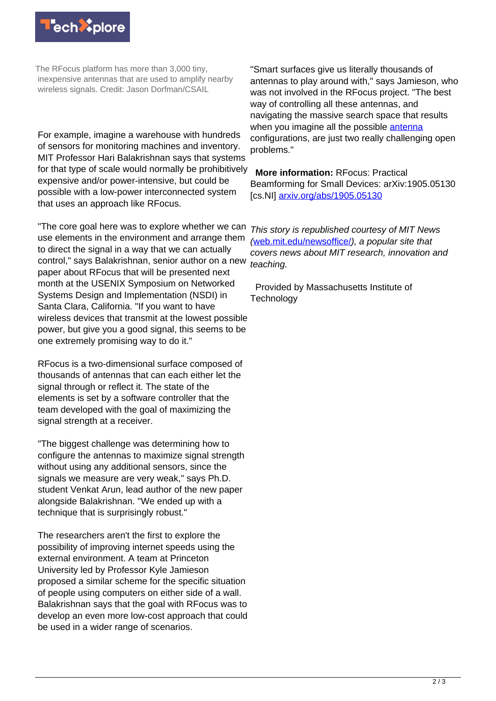

The RFocus platform has more than 3,000 tiny, inexpensive antennas that are used to amplify nearby wireless signals. Credit: Jason Dorfman/CSAIL

For example, imagine a warehouse with hundreds of sensors for monitoring machines and inventory. MIT Professor Hari Balakrishnan says that systems for that type of scale would normally be prohibitively expensive and/or power-intensive, but could be possible with a low-power interconnected system that uses an approach like RFocus.

"The core goal here was to explore whether we can use elements in the environment and arrange them to direct the signal in a way that we can actually control," says Balakrishnan, senior author on a new paper about RFocus that will be presented next month at the USENIX Symposium on Networked Systems Design and Implementation (NSDI) in Santa Clara, California. "If you want to have wireless devices that transmit at the lowest possible power, but give you a good signal, this seems to be one extremely promising way to do it."

RFocus is a two-dimensional surface composed of thousands of antennas that can each either let the signal through or reflect it. The state of the elements is set by a software controller that the team developed with the goal of maximizing the signal strength at a receiver.

"The biggest challenge was determining how to configure the antennas to maximize signal strength without using any additional sensors, since the signals we measure are very weak," says Ph.D. student Venkat Arun, lead author of the new paper alongside Balakrishnan. "We ended up with a technique that is surprisingly robust."

The researchers aren't the first to explore the possibility of improving internet speeds using the external environment. A team at Princeton University led by Professor Kyle Jamieson proposed a similar scheme for the specific situation of people using computers on either side of a wall. Balakrishnan says that the goal with RFocus was to develop an even more low-cost approach that could be used in a wider range of scenarios.

"Smart surfaces give us literally thousands of antennas to play around with," says Jamieson, who was not involved in the RFocus project. "The best way of controlling all these antennas, and navigating the massive search space that results when you imagine all the possible [antenna](https://techxplore.com/tags/antenna/) configurations, are just two really challenging open problems."

 **More information:** RFocus: Practical Beamforming for Small Devices: arXiv:1905.05130 [cs.NI] [arxiv.org/abs/1905.05130](https://arxiv.org/abs/1905.05130)

This story is republished courtesy of MIT News ([web.mit.edu/newsoffice/](http://web.mit.edu/newsoffice/)), a popular site that covers news about MIT research, innovation and teaching.

 Provided by Massachusetts Institute of **Technology**